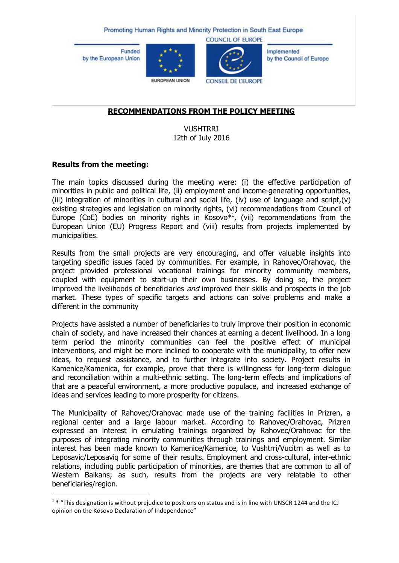Promoting Human Rights and Minority Protection in South East Europe

**Funded** by the European Union





**COUNCIL OF EUROPE** 

Implemented by the Council of Europe

**CONSEIL DE L'EUROPE** 

## **RECOMMENDATIONS FROM THE POLICY MEETING**

VUSHTRRI 12th of July 2016

#### **Results from the meeting:**

The main topics discussed during the meeting were: (i) the effective participation of minorities in public and political life, (ii) employment and income-generating opportunities, (iii) integration of minorities in cultural and social life, (iv) use of language and script,  $(v)$ existing strategies and legislation on minority rights, (vi) recommendations from Council of Europe (CoE) bodies on minority rights in Kosovo $*^1$ , (vii) recommendations from the European Union (EU) Progress Report and (viii) results from projects implemented by municipalities.

Results from the small projects are very encouraging, and offer valuable insights into targeting specific issues faced by communities. For example, in Rahovec/Orahovac, the project provided professional vocational trainings for minority community members, coupled with equipment to start-up their own businesses. By doing so, the project improved the livelihoods of beneficiaries *and* improved their skills and prospects in the job market. These types of specific targets and actions can solve problems and make a different in the community

Projects have assisted a number of beneficiaries to truly improve their position in economic chain of society, and have increased their chances at earning a decent livelihood. In a long term period the minority communities can feel the positive effect of municipal interventions, and might be more inclined to cooperate with the municipality, to offer new ideas, to request assistance, and to further integrate into society. Project results in Kamenice/Kamenica, for example, prove that there is willingness for long-term dialogue and reconciliation within a multi-ethnic setting. The long-term effects and implications of that are a peaceful environment, a more productive populace, and increased exchange of ideas and services leading to more prosperity for citizens.

The Municipality of Rahovec/Orahovac made use of the training facilities in Prizren, a regional center and a large labour market. According to Rahovec/Orahovac, Prizren expressed an interest in emulating trainings organized by Rahovec/Orahovac for the purposes of integrating minority communities through trainings and employment. Similar interest has been made known to Kamenice/Kamenice, to Vushtrri/Vucitrn as well as to Leposavic/Leposaviq for some of their results. Employment and cross-cultural, inter-ethnic relations, including public participation of minorities, are themes that are common to all of Western Balkans; as such, results from the projects are very relatable to other beneficiaries/region.

 1 \* "This designation is without prejudice to positions on status and is in line with UNSCR 1244 and the ICJ opinion on the Kosovo Declaration of Independence"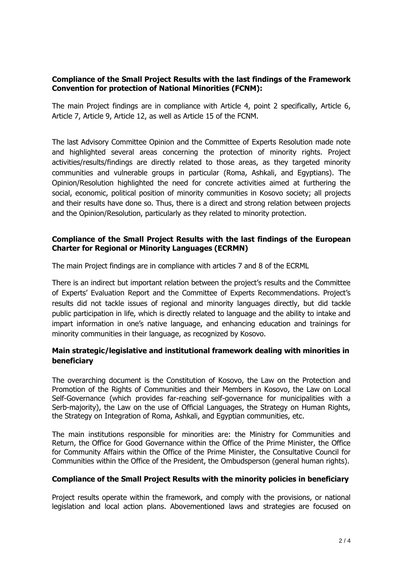## **Compliance of the Small Project Results with the last findings of the Framework Convention for protection of National Minorities (FCNM):**

The main Project findings are in compliance with Article 4, point 2 specifically, Article 6, Article 7, Article 9, Article 12, as well as Article 15 of the FCNM.

The last Advisory Committee Opinion and the Committee of Experts Resolution made note and highlighted several areas concerning the protection of minority rights. Project activities/results/findings are directly related to those areas, as they targeted minority communities and vulnerable groups in particular (Roma, Ashkali, and Egyptians). The Opinion/Resolution highlighted the need for concrete activities aimed at furthering the social, economic, political position of minority communities in Kosovo society; all projects and their results have done so. Thus, there is a direct and strong relation between projects and the Opinion/Resolution, particularly as they related to minority protection.

#### **Compliance of the Small Project Results with the last findings of the European Charter for Regional or Minority Languages (ECRMN)**

The main Project findings are in compliance with articles 7 and 8 of the ECRML

There is an indirect but important relation between the project's results and the Committee of Experts' Evaluation Report and the Committee of Experts Recommendations. Project's results did not tackle issues of regional and minority languages directly, but did tackle public participation in life, which is directly related to language and the ability to intake and impart information in one's native language, and enhancing education and trainings for minority communities in their language, as recognized by Kosovo.

# **Main strategic/legislative and institutional framework dealing with minorities in beneficiary**

The overarching document is the Constitution of Kosovo, the Law on the Protection and Promotion of the Rights of Communities and their Members in Kosovo, the Law on Local Self-Governance (which provides far-reaching self-governance for municipalities with a Serb-majority), the Law on the use of Official Languages, the Strategy on Human Rights, the Strategy on Integration of Roma, Ashkali, and Egyptian communities, etc.

The main institutions responsible for minorities are: the Ministry for Communities and Return, the Office for Good Governance within the Office of the Prime Minister, the Office for Community Affairs within the Office of the Prime Minister, the Consultative Council for Communities within the Office of the President, the Ombudsperson (general human rights).

## **Compliance of the Small Project Results with the minority policies in beneficiary**

Project results operate within the framework, and comply with the provisions, or national legislation and local action plans. Abovementioned laws and strategies are focused on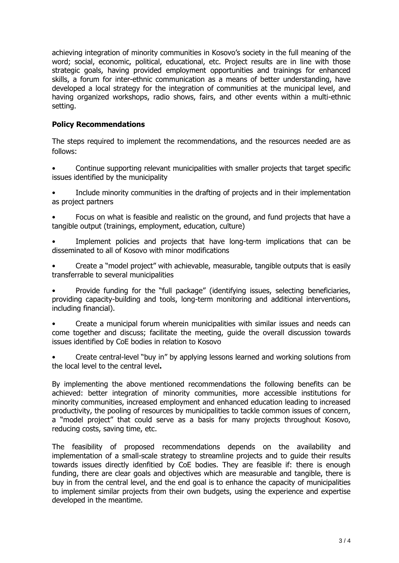achieving integration of minority communities in Kosovo's society in the full meaning of the word; social, economic, political, educational, etc. Project results are in line with those strategic goals, having provided employment opportunities and trainings for enhanced skills, a forum for inter-ethnic communication as a means of better understanding, have developed a local strategy for the integration of communities at the municipal level, and having organized workshops, radio shows, fairs, and other events within a multi-ethnic setting.

## **Policy Recommendations**

The steps required to implement the recommendations, and the resources needed are as follows:

- Continue supporting relevant municipalities with smaller projects that target specific issues identified by the municipality
- Include minority communities in the drafting of projects and in their implementation as project partners
- Focus on what is feasible and realistic on the ground, and fund projects that have a tangible output (trainings, employment, education, culture)
- Implement policies and projects that have long-term implications that can be disseminated to all of Kosovo with minor modifications
- Create a "model project" with achievable, measurable, tangible outputs that is easily transferrable to several municipalities

• Provide funding for the "full package" (identifying issues, selecting beneficiaries, providing capacity-building and tools, long-term monitoring and additional interventions, including financial).

• Create a municipal forum wherein municipalities with similar issues and needs can come together and discuss; facilitate the meeting, guide the overall discussion towards issues identified by CoE bodies in relation to Kosovo

• Create central-level "buy in" by applying lessons learned and working solutions from the local level to the central level**.** 

By implementing the above mentioned recommendations the following benefits can be achieved: better integration of minority communities, more accessible institutions for minority communities, increased employment and enhanced education leading to increased productivity, the pooling of resources by municipalities to tackle common issues of concern, a "model project" that could serve as a basis for many projects throughout Kosovo, reducing costs, saving time, etc.

The feasibility of proposed recommendations depends on the availability and implementation of a small-scale strategy to streamline projects and to guide their results towards issues directly idenfitied by CoE bodies. They are feasible if: there is enough funding, there are clear goals and objectives which are measurable and tangible, there is buy in from the central level, and the end goal is to enhance the capacity of municipalities to implement similar projects from their own budgets, using the experience and expertise developed in the meantime.